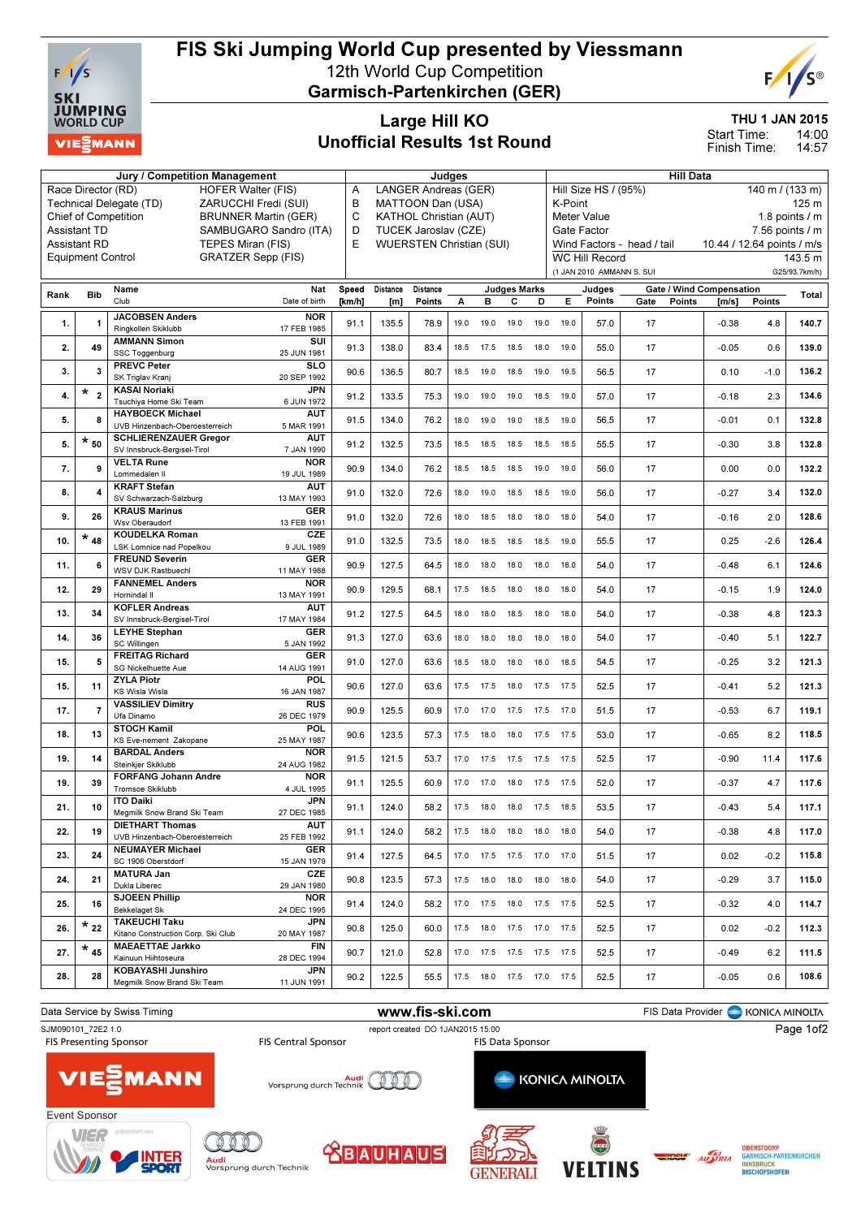

## FIS Ski Jumping World Cup presented by Viessmann 12th World Cup Competition

Garmisch-Partenkirchen (GER)



THU 1 JAN 2015

14:00 14:57 Start Time: Finish Time:

## Large Hill KO Unofficial Results 1st Round

|      |                          | Jury / Competition Management                   |                                      |            |                      |                               | Judges |           |                              |                                    |                       |                            | <b>Hill Data</b> |        |                                 |                           |                 |
|------|--------------------------|-------------------------------------------------|--------------------------------------|------------|----------------------|-------------------------------|--------|-----------|------------------------------|------------------------------------|-----------------------|----------------------------|------------------|--------|---------------------------------|---------------------------|-----------------|
|      | Race Director (RD)       | <b>HOFER Walter (FIS)</b>                       |                                      | Α          |                      | LANGER Andreas (GER)          |        |           |                              |                                    |                       | Hill Size HS / (95%)       |                  |        |                                 | $140 \text{ m}$ / (133 m) |                 |
|      |                          | Technical Delegate (TD)<br>ZARUCCHI Fredi (SUI) |                                      | B          |                      | MATTOON Dan (USA)             |        |           |                              |                                    | K-Point               |                            |                  |        |                                 |                           | 125 m           |
|      |                          | <b>Chief of Competition</b>                     | <b>BRUNNER Martin (GER)</b>          | C          |                      | <b>KATHOL Christian (AUT)</b> |        |           |                              |                                    |                       | Meter Value                |                  |        |                                 |                           | 1.8 points $/m$ |
|      | <b>Assistant TD</b>      | SAMBUGARO Sandro (ITA)                          | D                                    |            | TUCEK Jaroslav (CZE) |                               |        |           |                              | Gate Factor<br>$7.56$ points $/ m$ |                       |                            |                  |        |                                 |                           |                 |
|      | <b>Assistant RD</b>      | TEPES Miran (FIS)                               | E<br><b>WUERSTEN Christian (SUI)</b> |            |                      |                               |        |           | Wind Factors - head / tail   |                                    |                       | 10.44 / 12.64 points / m/s |                  |        |                                 |                           |                 |
|      | <b>Equipment Control</b> | <b>GRATZER Sepp (FIS)</b>                       |                                      |            |                      |                               |        |           |                              |                                    | <b>WC Hill Record</b> |                            |                  |        |                                 | 143.5 m                   |                 |
|      |                          |                                                 |                                      |            |                      |                               |        |           |                              |                                    |                       | (1 JAN 2010 AMMANN S. SUI  |                  |        |                                 |                           | G25/93.7km/h)   |
|      |                          |                                                 | Nat                                  | Speed      | Distance             | Distance                      |        |           |                              |                                    |                       |                            |                  |        | <b>Gate / Wind Compensation</b> |                           |                 |
| Rank | Bib                      | Name<br>Club                                    | Date of birth                        | [ $km/h$ ] | [m]                  | Points                        | А      | в         | <b>Judges Marks</b><br>С     | D                                  | Е                     | Judges<br>Points           | Gate             | Points | [m/s]                           | Points                    | Total           |
|      |                          |                                                 |                                      |            |                      |                               |        |           |                              |                                    |                       |                            |                  |        |                                 |                           |                 |
| 1.   | $\mathbf{1}$             | <b>JACOBSEN Anders</b><br>Ringkollen Skiklubb   | <b>NOR</b><br>17 FEB 1985            | 91.1       | 135.5                | 78.9                          | 19.0   | 19.0      | 19.0                         | 19.0                               | 19.0                  | 57.0                       | 17               |        | $-0.38$                         | 4.8                       | 140.7           |
|      |                          | <b>AMMANN Simon</b>                             | SUI                                  |            |                      |                               |        |           |                              |                                    |                       |                            |                  |        |                                 |                           |                 |
| 2.   | 49                       | SSC Toggenburg                                  | 25 JUN 1981                          | 91.3       | 138.0                | 83.4                          | 18.5   | 17.5      | 18.5                         | 18.0                               | 19.0                  | 55.0                       | 17               |        | $-0.05$                         | 0.6                       | 139.0           |
|      |                          | <b>PREVC Peter</b>                              | <b>SLO</b>                           |            |                      |                               |        |           |                              |                                    |                       |                            |                  |        |                                 |                           |                 |
| 3.   | 3                        | SK Triglav Kranj                                | 20 SEP 1992                          | 90.6       | 136.5                | 80.7                          | 18.5   | 19.0      | 18.5                         | 19.0                               | 19.5                  | 56.5                       | 17               |        | 0.10                            | $-1.0$                    | 136.2           |
| 4.   | $*_{2}$                  | <b>KASAI Noriaki</b>                            | <b>JPN</b>                           |            |                      |                               |        |           |                              |                                    |                       |                            |                  |        |                                 |                           | 134.6           |
|      |                          | Tsuchiya Home Ski Team                          | 6 JUN 1972                           | 91.2       | 133.5                | 75.3                          | 19.0   | 19.0      | 19.0                         | 18.5                               | 19.0                  | 57.0                       | 17               |        | $-0.18$                         | 2.3                       |                 |
| 5.   | 8                        | <b>HAYBOECK Michael</b>                         | <b>AUT</b>                           | 91.5       | 134.0                | 76.2                          | 18.0   | 19.0      | 19.0                         | 18.5                               | 19.0                  | 56.5                       | 17               |        | $-0.01$                         | 0.1                       | 132.8           |
|      |                          | UVB Hinzenbach-Oberoesterreich                  | 5 MAR 1991                           |            |                      |                               |        |           |                              |                                    |                       |                            |                  |        |                                 |                           |                 |
| 5.   | $*_{50}$                 | <b>SCHLIERENZAUER Gregor</b>                    | <b>AUT</b>                           | 91.2       | 132.5                | 73.5                          | 18.5   | 18.5      | 18.5                         | 18.5                               | 18.5                  | 55.5                       | 17               |        | $-0.30$                         | 3.8                       | 132.8           |
|      |                          | SV Innsbruck-Bergisel-Tirol                     | 7 JAN 1990                           |            |                      |                               |        |           |                              |                                    |                       |                            |                  |        |                                 |                           |                 |
| 7.   | 9                        | <b>VELTA Rune</b><br>Lommedalen II              | NOR<br>19 JUL 1989                   | 90.9       | 134.0                | 76.2                          | 18.5   | 18.5      | 18.5                         | 19.0                               | 19.0                  | 56.0                       | 17               |        | 0.00                            | 0.0                       | 132.2           |
|      |                          | <b>KRAFT Stefan</b>                             | AUT                                  |            |                      |                               |        |           |                              |                                    |                       |                            |                  |        |                                 |                           |                 |
| 8.   | 4                        | SV Schwarzach-Salzburg                          | 13 MAY 1993                          | 91.0       | 132.0                | 72.6                          | 18.0   | 19.0      | 18.5                         | 18.5                               | 19.0                  | 56.0                       | 17               |        | $-0.27$                         | 3.4                       | 132.0           |
|      |                          | <b>KRAUS Marinus</b>                            | <b>GER</b>                           |            |                      |                               |        |           |                              |                                    |                       |                            |                  |        |                                 |                           |                 |
| 9.   | 26                       | Wsv Oberaudorf                                  | 13 FEB 1991                          | 91.0       | 132.0                | 72.6                          | 18.0   | 18.5      | 18.0                         | 18.0                               | 18.0                  | 54.0                       | 17               |        | $-0.16$                         | 2.0                       | 128.6           |
| 10.  | $*_{48}$                 | <b>KOUDELKA Roman</b>                           | CZE                                  | 91.0       | 132.5                | 73.5                          | 18.0   | 18.5      | 18.5                         | 18.5                               | 19.0                  | 55.5                       | 17               |        | 0.25                            | $-2.6$                    | 126.4           |
|      |                          | LSK Lomnice nad Popelkou                        | 9 JUL 1989                           |            |                      |                               |        |           |                              |                                    |                       |                            |                  |        |                                 |                           |                 |
| 11.  | 6                        | <b>FREUND Severin</b>                           | <b>GER</b>                           | 90.9       | 127.5                | 64.5                          | 18.0   | 18.0      | 18.0                         | 18.0                               | 18.0                  | 54.0                       | 17               |        | $-0.48$                         | 6.1                       | 124.6           |
|      |                          | <b>WSV DJK Rastbuechl</b>                       | 11 MAY 1988                          |            |                      |                               |        |           |                              |                                    |                       |                            |                  |        |                                 |                           |                 |
| 12.  | 29                       | <b>FANNEMEL Anders</b>                          | <b>NOR</b>                           | 90.9       | 129.5                | 68.1                          | 17.5   | 18.5      | 18.0                         | 18.0                               | 18.0                  | 54.0                       | 17               |        | $-0.15$                         | 1.9                       | 124.0           |
|      |                          | Hornindal II<br><b>KOFLER Andreas</b>           | 13 MAY 1991<br><b>AUT</b>            |            |                      |                               |        |           |                              |                                    |                       |                            |                  |        |                                 |                           |                 |
| 13.  | 34                       | SV Innsbruck-Bergisel-Tirol                     | 17 MAY 1984                          | 91.2       | 127.5                | 64.5                          | 18.0   | 18.0      | 18.5                         | 18.0                               | 18.0                  | 54.0                       | 17               |        | $-0.38$                         | 4.8                       | 123.3           |
|      |                          | <b>LEYHE Stephan</b>                            | <b>GER</b>                           |            |                      |                               |        |           |                              |                                    |                       |                            |                  |        |                                 |                           |                 |
| 14.  | 36                       | SC Willingen                                    | 5 JAN 1992                           | 91.3       | 127.0                | 63.6                          | 18.0   | 18.0      | 18.0                         | 18.0                               | 18.0                  | 54.0                       | 17               |        | $-0.40$                         | 5.1                       | 122.7           |
|      | 5                        | <b>FREITAG Richard</b>                          | <b>GER</b>                           |            |                      |                               |        |           |                              |                                    |                       |                            |                  |        |                                 |                           |                 |
| 15.  |                          | SG Nickelhuette Aue                             | 14 AUG 1991                          | 91.0       | 127.0                | 63.6                          | 18.5   | 18.0      | 18.0                         | 18.0                               | 18.5                  | 54.5                       | 17               |        | $-0.25$                         | 3.2                       | 121.3           |
| 15.  | 11                       | <b>ZYLA Piotr</b>                               | POL                                  | 90.6       | 127.0                | 63.6                          | 17.5   | 17.5      | 18.0                         | 17.5                               | 17.5                  | 52.5                       | 17               |        | $-0.41$                         | 5.2                       | 121.3           |
|      |                          | KS Wisla Wisla                                  | 16 JAN 1987                          |            |                      |                               |        |           |                              |                                    |                       |                            |                  |        |                                 |                           |                 |
| 17.  | $\overline{7}$           | <b>VASSILIEV Dimitry</b>                        | <b>RUS</b>                           | 90.9       | 125.5                | 60.9                          | 17.0   | 17.0      | 17.5                         | 17.5                               | 17.0                  | 51.5                       | 17               |        | $-0.53$                         | 6.7                       | 119.1           |
|      |                          | Ufa Dinamo<br><b>STOCH Kamil</b>                | 26 DEC 1979<br>POL                   |            |                      |                               |        |           |                              |                                    |                       |                            |                  |        |                                 |                           |                 |
| 18.  | 13                       | KS Eve-nement Zakopane                          | 25 MAY 1987                          | 90.6       | 123.5                | 57.3                          | 17.5   | 18.0      | 18.0                         | 17.5                               | 17.5                  | 53.0                       | 17               |        | $-0.65$                         | 8.2                       | 118.5           |
|      |                          | <b>BARDAL Anders</b>                            | <b>NOR</b>                           |            |                      |                               |        |           |                              |                                    |                       |                            |                  |        |                                 |                           |                 |
| 19.  | 14                       | Steinkjer Skiklubb                              | 24 AUG 1982                          | 91.5       | 121.5                | 53.7                          | 17.0   | 17.5      | 17.5                         | 17.5                               | 17.5                  | 52.5                       | 17               |        | $-0.90$                         | 11.4                      | 117.6           |
|      |                          | <b>FORFANG Johann Andre</b>                     | <b>NOR</b>                           |            |                      |                               |        |           |                              |                                    |                       |                            |                  |        |                                 |                           |                 |
| 19.  | 39                       | Tromsoe Skiklubb                                | 4 JUL 1995                           | 91.1       | 125.5                | 60.9                          | 17.0   | 17.0      | 18.0                         | 17.5                               | 17.5                  | 52.0                       | 17               |        | $-0.37$                         | 4.7                       | 117.6           |
| 21.  | 10                       | <b>ITO Daiki</b>                                | <b>JPN</b>                           | 91.1       | 124.0                | 58.2                          |        | 17.5 18.0 | 18.0 17.5 18.5               |                                    |                       | 53.5                       | 17               |        | $-0.43$                         | 5.4                       | 117.1           |
|      |                          | Megmilk Snow Brand Ski Team                     | 27 DEC 1985                          |            |                      |                               |        |           |                              |                                    |                       |                            |                  |        |                                 |                           |                 |
| 22.  | 19                       | <b>DIETHART Thomas</b>                          | AUT                                  | 91.1       | 124.0                | 58.2                          | 17.5   | 18.0      | 18.0                         | 18.0                               | 18.0                  | 54.0                       | 17               |        | $-0.38$                         | 4.8                       | 117.0           |
|      |                          | UVB Hinzenbach-Oberoesterreich                  | 25 FEB 1992                          |            |                      |                               |        |           |                              |                                    |                       |                            |                  |        |                                 |                           |                 |
| 23.  | 24                       | <b>NEUMAYER Michael</b><br>SC 1906 Oberstdorf   | GER<br>15 JAN 1979                   | 91.4       | 127.5                | 64.5                          |        |           | 17.0  17.5  17.5  17.0       |                                    | 17.0                  | 51.5                       | 17               |        | 0.02                            | $-0.2$                    | 115.8           |
|      |                          | <b>MATURA Jan</b>                               | CZE                                  |            |                      |                               |        |           |                              |                                    |                       |                            |                  |        |                                 |                           |                 |
| 24.  | 21                       | Dukla Liberec                                   | 29 JAN 1980                          | 90.8       | 123.5                | 57.3                          | 17.5   | 18.0      | 18.0                         | 18.0                               | 18.0                  | 54.0                       | 17               |        | $-0.29$                         | 3.7                       | 115.0           |
|      |                          | <b>SJOEEN Phillip</b>                           | <b>NOR</b>                           |            |                      |                               |        |           |                              |                                    |                       |                            |                  |        |                                 |                           |                 |
| 25.  | 16                       | <b>Bekkelaget Sk</b>                            | 24 DEC 1995                          | 91.4       | 124.0                | 58.2                          |        |           | 17.0  17.5  18.0  17.5  17.5 |                                    |                       | 52.5                       | 17               |        | $-0.32$                         | 4.0                       | 114.7           |
| 26.  | $\star$ 22               | <b>TAKEUCHI Taku</b>                            | JPN                                  | 90.8       | 125.0                | 60.0                          |        |           | 17.5  18.0  17.5  17.0  17.5 |                                    |                       | 52.5                       | 17               |        | 0.02                            | $-0.2$                    | 112.3           |
|      |                          | Kitano Construction Corp. Ski Club              | 20 MAY 1987                          |            |                      |                               |        |           |                              |                                    |                       |                            |                  |        |                                 |                           |                 |
| 27.  | $\star$ 45               | <b>MAEAETTAE Jarkko</b>                         | FIN                                  | 90.7       | 121.0                | 52.8                          | 17.0   |           | 17.5 17.5 17.5 17.5          |                                    |                       | 52.5                       | 17               |        | $-0.49$                         | 6.2                       | 111.5           |
|      |                          | Kainuun Hiihtoseura                             | 28 DEC 1994                          |            |                      |                               |        |           |                              |                                    |                       |                            |                  |        |                                 |                           |                 |
| 28.  | 28                       | <b>KOBAYASHI Junshiro</b>                       | JPN<br>11 JUN 1991                   | 90.2       | 122.5                | 55.5                          |        |           | 17.5  18.0  17.5  17.0  17.5 |                                    |                       | 52.5                       | 17               |        | $-0.05$                         | 0.6                       | 108.6           |
|      |                          | Megmilk Snow Brand Ski Team                     |                                      |            |                      |                               |        |           |                              |                                    |                       |                            |                  |        |                                 |                           |                 |